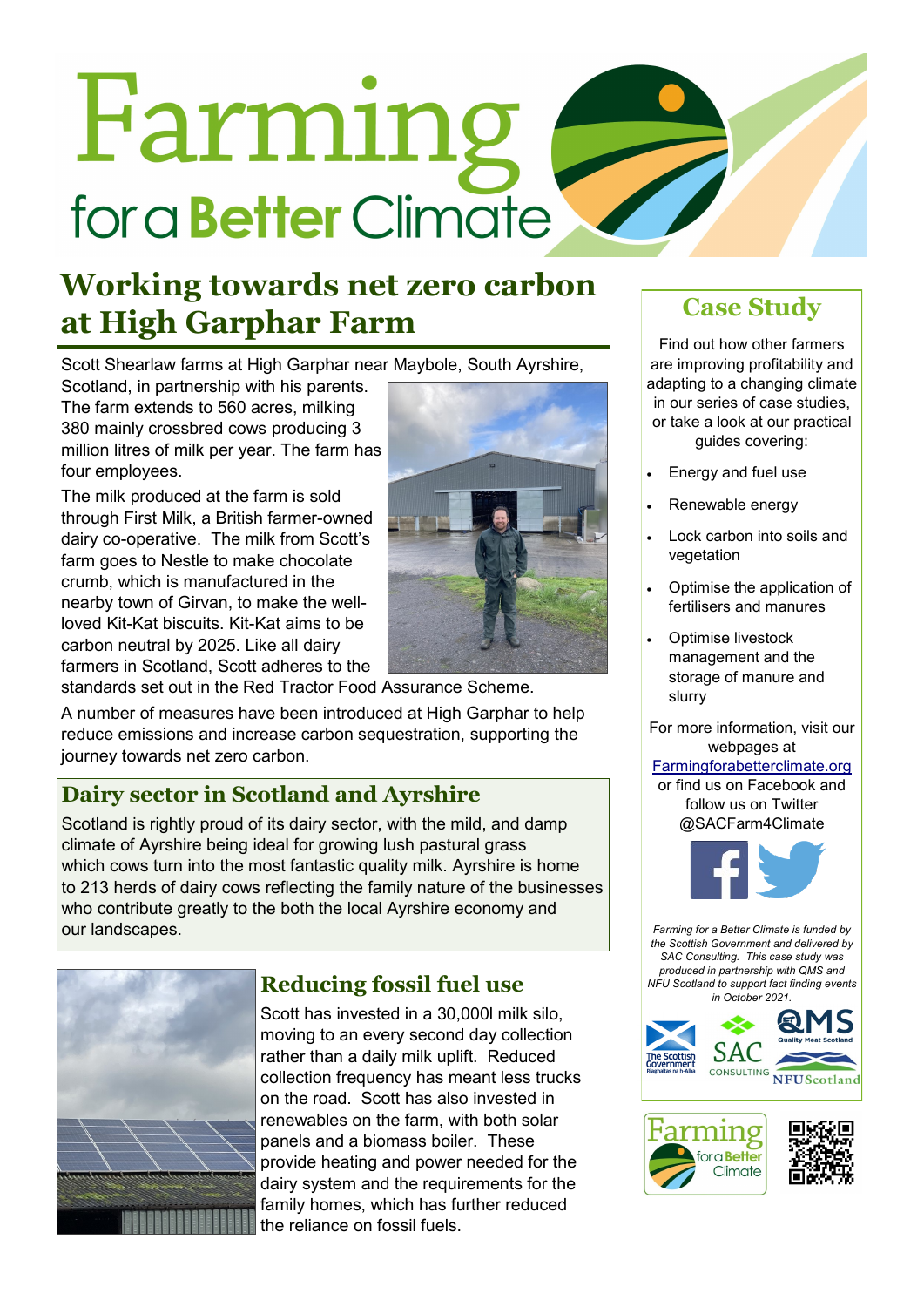# Farming for a **Better** Climate

# **Working towards net zero carbon at High Garphar Farm Case Study**

Scott Shearlaw farms at High Garphar near Maybole, South Ayrshire,

Scotland, in partnership with his parents. The farm extends to 560 acres, milking 380 mainly crossbred cows producing 3 million litres of milk per year. The farm has four employees.

The milk produced at the farm is sold through First Milk, a British farmer-owned dairy co-operative. The milk from Scott's farm goes to Nestle to make chocolate crumb, which is manufactured in the nearby town of Girvan, to make the wellloved Kit-Kat biscuits. Kit-Kat aims to be carbon neutral by 2025. Like all dairy farmers in Scotland, Scott adheres to the



standards set out in the Red Tractor Food Assurance Scheme.

A number of measures have been introduced at High Garphar to help reduce emissions and increase carbon sequestration, supporting the journey towards net zero carbon.

# **Dairy sector in Scotland and Ayrshire**

Scotland is rightly proud of its dairy sector, with the mild, and damp climate of Ayrshire being ideal for growing lush pastural grass which cows turn into the most fantastic quality milk. Ayrshire is home to 213 herds of dairy cows reflecting the family nature of the businesses who contribute greatly to the both the local Ayrshire economy and our landscapes.



# **Reducing fossil fuel use**

Scott has invested in a 30,000l milk silo, moving to an every second day collection rather than a daily milk uplift. Reduced collection frequency has meant less trucks on the road. Scott has also invested in renewables on the farm, with both solar panels and a biomass boiler. These provide heating and power needed for the dairy system and the requirements for the family homes, which has further reduced the reliance on fossil fuels.

Find out how other farmers are improving profitability and adapting to a changing climate in our series of case studies, or take a look at our practical guides covering:

- Energy and fuel use
- Renewable energy
- Lock carbon into soils and vegetation
- Optimise the application of fertilisers and manures
- Optimise livestock management and the storage of manure and slurry

For more information, visit our webpages at

### [Farmingforabetterclimate.org](http://www.farmingforabetterclimate.org/)

or find us on Facebook and follow us on Twitter @SACFarm4Climate



*Farming for a Better Climate is funded by the Scottish Government and delivered by SAC Consulting. This case study was produced in partnership with QMS and NFU Scotland to support fact finding events in October 2021.*